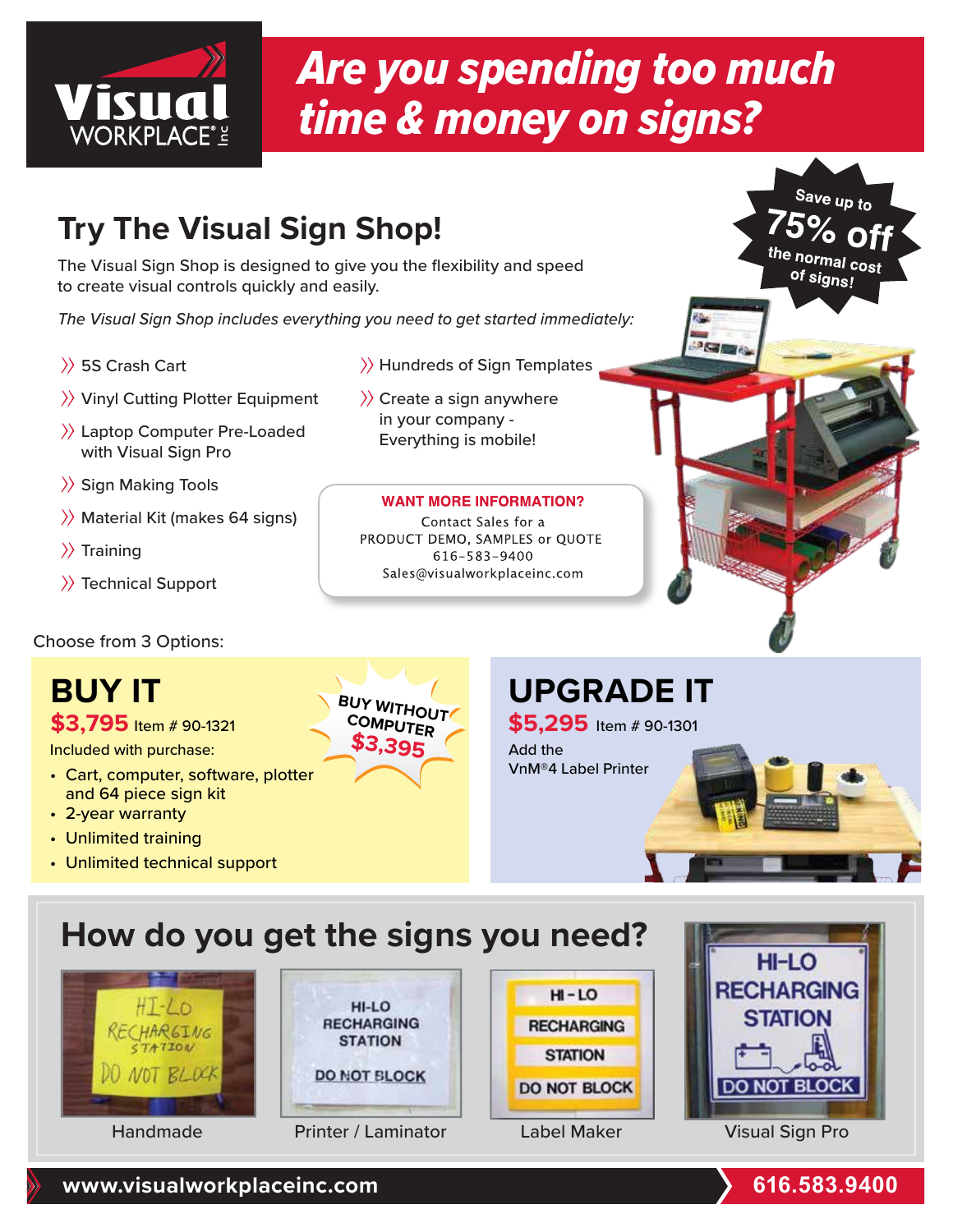

# Are you spending too much time & money on signs?

### **Try The Visual Sign Shop!**

The Visual Sign Shop is designed to give you the flexibility and speed to create visual controls quickly and easily.

The Visual Sign Shop includes everything you need to get started immediately:

- 5S Crash Cart
- $\rangle$  Vinyl Cutting Plotter Equipment
- Laptop Computer Pre-Loaded with Visual Sign Pro
- $\rangle$  Sign Making Tools
- $\rangle$  Material Kit (makes 64 signs)
- $\rangle$  Training
- $\rangle$  Technical Support

Choose from 3 Options:

# **BUY IT**

Included with purchase:

- Cart, computer, software, plotter and 64 piece sign kit
- 2-year warranty
- Unlimited training
- Unlimited technical support
- **BUY WITHOUT COMPUTER \$3,395**

#### $\rangle$  Hundreds of Sign Templates

 $\rangle$  Create a sign anywhere in your company - Everything is mobile!

#### **WANT MORE INFORMATION?**

Contact Sales for a PRODUCT DEMO, SAMPLES or QUOTE 616-583-9400 Sales@visualworkplaceinc.com

### **UPGRADE IT**

**\$5,295** Item # 90-1301 \$3,795 Item # 90-1321 **COMPUTER** \$5,295 Item # 90-1301 Add the VnM®4 Label Printer

 $\overline{\phantom{a}}$ 

### **How do you get the signs you need?**









Save up to

the normal cost of signs!